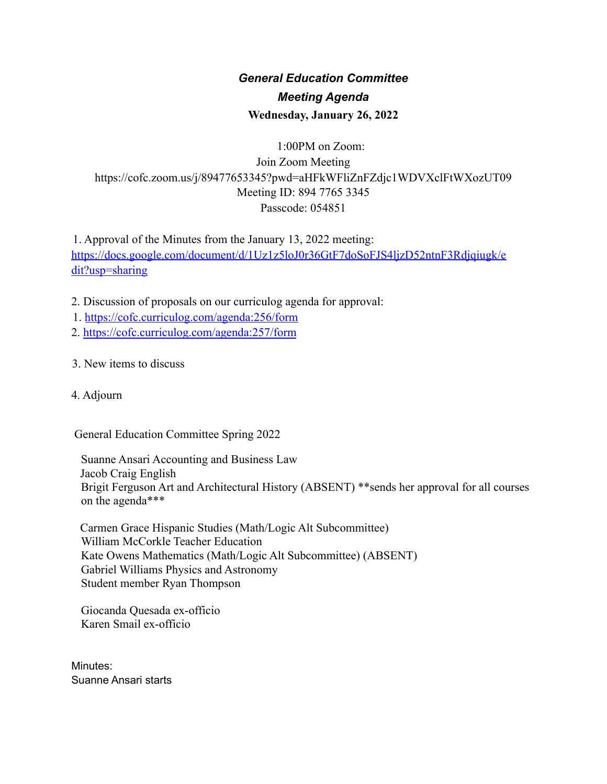# *General Education Committee Meeting Agenda* **Wednesday, January 26, 2022**

# 1:00PM on Zoom: Join Zoom Meeting https://cofc.zoom.us/j/89477653345?pwd=aHFkWFliZnFZdjc1WDVXclFtWXozUT09 Meeting ID: 894 7765 3345 Passcode: 054851

1. Approval of the Minutes from the January 13, 2022 meeting: https://docs.google.com/document/d/1Uz1z5loJ0r36GtF7doSoFJS4ljzD52ntnF3Rdjqiugk/e dit?usp=sharing

- 2. Discussion of proposals on our curriculog agenda for approval:
- 1. https://cofc.curriculog.com/agenda:256/form
- 2. https://cofc.curriculog.com/agenda:257/form
- 3. New items to discuss
- 4. Adjourn

General Education Committee Spring 2022

Suanne Ansari Accounting and Business Law Jacob Craig English Brigit Ferguson Art and Architectural History (ABSENT) \*\*sends her approval for all courses on the agenda\*\*\*

Carmen Grace Hispanic Studies (Math/Logic Alt Subcommittee) William McCorkle Teacher Education Kate Owens Mathematics (Math/Logic Alt Subcommittee) (ABSENT) Gabriel Williams Physics and Astronomy Student member Ryan Thompson

Giocanda Quesada ex-officio Karen Smail ex-officio

Minutes: Suanne Ansari starts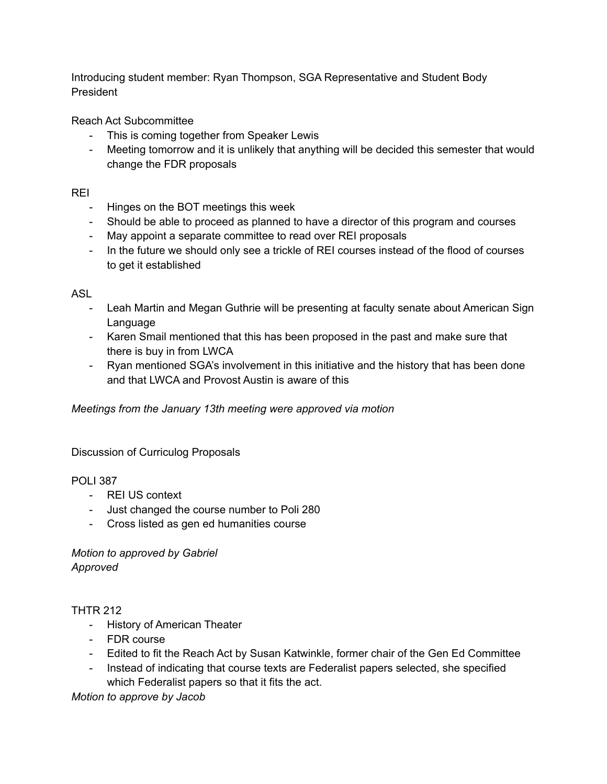Introducing student member: Ryan Thompson, SGA Representative and Student Body President

Reach Act Subcommittee

- This is coming together from Speaker Lewis
- Meeting tomorrow and it is unlikely that anything will be decided this semester that would change the FDR proposals

REI

- Hinges on the BOT meetings this week
- Should be able to proceed as planned to have a director of this program and courses
- May appoint a separate committee to read over REI proposals
- In the future we should only see a trickle of REI courses instead of the flood of courses to get it established

ASL

- Leah Martin and Megan Guthrie will be presenting at faculty senate about American Sign Language
- Karen Smail mentioned that this has been proposed in the past and make sure that there is buy in from LWCA
- Ryan mentioned SGA's involvement in this initiative and the history that has been done and that LWCA and Provost Austin is aware of this

*Meetings from the January 13th meeting were approved via motion*

Discussion of Curriculog Proposals

POLI 387

- REI US context
- Just changed the course number to Poli 280
- Cross listed as gen ed humanities course

*Motion to approved by Gabriel Approved*

### THTR 212

- History of American Theater
- FDR course
- Edited to fit the Reach Act by Susan Katwinkle, former chair of the Gen Ed Committee
- Instead of indicating that course texts are Federalist papers selected, she specified which Federalist papers so that it fits the act.

*Motion to approve by Jacob*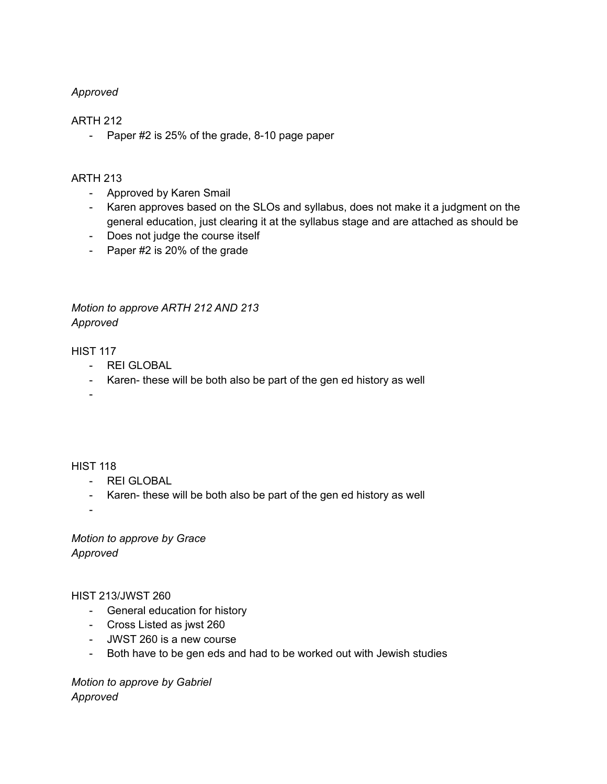#### *Approved*

#### ARTH 212

- Paper #2 is 25% of the grade, 8-10 page paper

#### ARTH 213

- Approved by Karen Smail
- Karen approves based on the SLOs and syllabus, does not make it a judgment on the general education, just clearing it at the syllabus stage and are attached as should be
- Does not judge the course itself
- Paper #2 is 20% of the grade

## *Motion to approve ARTH 212 AND 213 Approved*

HIST 117

- REI GLOBAL
- Karen- these will be both also be part of the gen ed history as well

-

#### HIST 118

- REI GLOBAL
- Karen- these will be both also be part of the gen ed history as well

-

*Motion to approve by Grace Approved*

HIST 213/JWST 260

- General education for history
- Cross Listed as jwst 260
- JWST 260 is a new course
- Both have to be gen eds and had to be worked out with Jewish studies

*Motion to approve by Gabriel Approved*